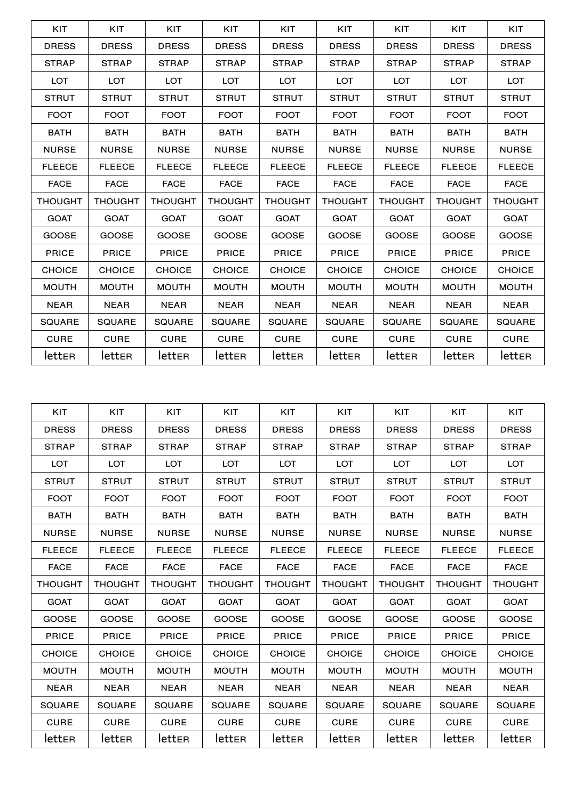| <b>KIT</b>     | KIT            | KIT            | <b>KIT</b>     | <b>KIT</b>     | KIT            | KIT            | KIT            | KIT            |
|----------------|----------------|----------------|----------------|----------------|----------------|----------------|----------------|----------------|
| <b>DRESS</b>   | <b>DRESS</b>   | <b>DRESS</b>   | <b>DRESS</b>   | <b>DRESS</b>   | <b>DRESS</b>   | <b>DRESS</b>   | <b>DRESS</b>   | <b>DRESS</b>   |
| <b>STRAP</b>   | <b>STRAP</b>   | <b>STRAP</b>   | <b>STRAP</b>   | <b>STRAP</b>   | <b>STRAP</b>   | <b>STRAP</b>   | <b>STRAP</b>   | <b>STRAP</b>   |
| <b>LOT</b>     | <b>LOT</b>     | <b>LOT</b>     | <b>LOT</b>     | <b>LOT</b>     | <b>LOT</b>     | <b>LOT</b>     | <b>LOT</b>     | <b>LOT</b>     |
| <b>STRUT</b>   | <b>STRUT</b>   | <b>STRUT</b>   | <b>STRUT</b>   | <b>STRUT</b>   | <b>STRUT</b>   | <b>STRUT</b>   | <b>STRUT</b>   | <b>STRUT</b>   |
| <b>FOOT</b>    | <b>FOOT</b>    | <b>FOOT</b>    | <b>FOOT</b>    | <b>FOOT</b>    | <b>FOOT</b>    | <b>FOOT</b>    | <b>FOOT</b>    | <b>FOOT</b>    |
| <b>BATH</b>    | <b>BATH</b>    | <b>BATH</b>    | <b>BATH</b>    | <b>BATH</b>    | <b>BATH</b>    | <b>BATH</b>    | <b>BATH</b>    | <b>BATH</b>    |
| <b>NURSE</b>   | <b>NURSE</b>   | <b>NURSE</b>   | <b>NURSE</b>   | <b>NURSE</b>   | <b>NURSE</b>   | <b>NURSE</b>   | <b>NURSE</b>   | <b>NURSE</b>   |
| <b>FLEECE</b>  | <b>FLEECE</b>  | <b>FLEECE</b>  | <b>FLEECE</b>  | <b>FLEECE</b>  | <b>FLEECE</b>  | <b>FLEECE</b>  | <b>FLEECE</b>  | <b>FLEECE</b>  |
| <b>FACE</b>    | <b>FACE</b>    | <b>FACE</b>    | <b>FACE</b>    | <b>FACE</b>    | <b>FACE</b>    | <b>FACE</b>    | <b>FACE</b>    | <b>FACE</b>    |
|                |                |                |                |                |                |                |                |                |
| <b>THOUGHT</b> | <b>THOUGHT</b> | <b>THOUGHT</b> | <b>THOUGHT</b> | <b>THOUGHT</b> | <b>THOUGHT</b> | <b>THOUGHT</b> | <b>THOUGHT</b> | <b>THOUGHT</b> |
| <b>GOAT</b>    | <b>GOAT</b>    | <b>GOAT</b>    | <b>GOAT</b>    | <b>GOAT</b>    | <b>GOAT</b>    | <b>GOAT</b>    | <b>GOAT</b>    | <b>GOAT</b>    |
| <b>GOOSE</b>   | <b>GOOSE</b>   | <b>GOOSE</b>   | <b>GOOSE</b>   | <b>GOOSE</b>   | <b>GOOSE</b>   | <b>GOOSE</b>   | <b>GOOSE</b>   | <b>GOOSE</b>   |
| <b>PRICE</b>   | <b>PRICE</b>   | <b>PRICE</b>   | <b>PRICE</b>   | <b>PRICE</b>   | <b>PRICE</b>   | <b>PRICE</b>   | <b>PRICE</b>   | <b>PRICE</b>   |
| <b>CHOICE</b>  | <b>CHOICE</b>  | <b>CHOICE</b>  | <b>CHOICE</b>  | <b>CHOICE</b>  | <b>CHOICE</b>  | <b>CHOICE</b>  | <b>CHOICE</b>  | <b>CHOICE</b>  |
| <b>MOUTH</b>   | <b>MOUTH</b>   | <b>MOUTH</b>   | <b>MOUTH</b>   | <b>MOUTH</b>   | <b>MOUTH</b>   | <b>MOUTH</b>   | <b>MOUTH</b>   | <b>MOUTH</b>   |
| <b>NEAR</b>    | <b>NEAR</b>    | <b>NEAR</b>    | <b>NEAR</b>    | <b>NEAR</b>    | <b>NEAR</b>    | <b>NEAR</b>    | <b>NEAR</b>    | <b>NEAR</b>    |
| <b>SQUARE</b>  | <b>SQUARE</b>  | <b>SQUARE</b>  | <b>SQUARE</b>  | <b>SQUARE</b>  | <b>SQUARE</b>  | <b>SQUARE</b>  | <b>SQUARE</b>  | <b>SQUARE</b>  |
| <b>CURE</b>    | <b>CURE</b>    | <b>CURE</b>    | <b>CURE</b>    | <b>CURE</b>    | <b>CURE</b>    | <b>CURE</b>    | <b>CURE</b>    | <b>CURE</b>    |

| KIT            | KIT            | KIT            | KIT            | KIT            | KIT            | KIT            | KIT            | KIT            |
|----------------|----------------|----------------|----------------|----------------|----------------|----------------|----------------|----------------|
| <b>DRESS</b>   | <b>DRESS</b>   | <b>DRESS</b>   | <b>DRESS</b>   | <b>DRESS</b>   | <b>DRESS</b>   | <b>DRESS</b>   | <b>DRESS</b>   | <b>DRESS</b>   |
| <b>STRAP</b>   | <b>STRAP</b>   | <b>STRAP</b>   | <b>STRAP</b>   | <b>STRAP</b>   | <b>STRAP</b>   | <b>STRAP</b>   | <b>STRAP</b>   | <b>STRAP</b>   |
| <b>LOT</b>     | <b>LOT</b>     | <b>LOT</b>     | <b>LOT</b>     | <b>LOT</b>     | <b>LOT</b>     | <b>LOT</b>     | <b>LOT</b>     | <b>LOT</b>     |
| <b>STRUT</b>   | <b>STRUT</b>   | <b>STRUT</b>   | <b>STRUT</b>   | <b>STRUT</b>   | <b>STRUT</b>   | <b>STRUT</b>   | <b>STRUT</b>   | <b>STRUT</b>   |
| <b>FOOT</b>    | <b>FOOT</b>    | <b>FOOT</b>    | <b>FOOT</b>    | <b>FOOT</b>    | <b>FOOT</b>    | <b>FOOT</b>    | <b>FOOT</b>    | <b>FOOT</b>    |
| <b>BATH</b>    | <b>BATH</b>    | <b>BATH</b>    | <b>BATH</b>    | <b>BATH</b>    | <b>BATH</b>    | <b>BATH</b>    | <b>BATH</b>    | <b>BATH</b>    |
| <b>NURSE</b>   | <b>NURSE</b>   | <b>NURSE</b>   | <b>NURSE</b>   | <b>NURSE</b>   | <b>NURSE</b>   | <b>NURSE</b>   | <b>NURSE</b>   | <b>NURSE</b>   |
| <b>FLEECE</b>  | <b>FLEECE</b>  | <b>FLEECE</b>  | <b>FLEECE</b>  | <b>FLEECE</b>  | <b>FLEECE</b>  | <b>FLEECE</b>  | <b>FLEECE</b>  | <b>FLEECE</b>  |
| <b>FACE</b>    | <b>FACE</b>    | <b>FACE</b>    | <b>FACE</b>    | <b>FACE</b>    | <b>FACE</b>    | <b>FACE</b>    | <b>FACE</b>    | <b>FACE</b>    |
| <b>THOUGHT</b> | <b>THOUGHT</b> | <b>THOUGHT</b> | <b>THOUGHT</b> | <b>THOUGHT</b> | <b>THOUGHT</b> | <b>THOUGHT</b> | <b>THOUGHT</b> | <b>THOUGHT</b> |
| <b>GOAT</b>    | <b>GOAT</b>    | <b>GOAT</b>    | <b>GOAT</b>    | <b>GOAT</b>    | <b>GOAT</b>    | <b>GOAT</b>    | <b>GOAT</b>    | <b>GOAT</b>    |
| <b>GOOSE</b>   | <b>GOOSE</b>   | <b>GOOSE</b>   | <b>GOOSE</b>   | <b>GOOSE</b>   | <b>GOOSE</b>   | <b>GOOSE</b>   | <b>GOOSE</b>   | <b>GOOSE</b>   |
| <b>PRICE</b>   | <b>PRICE</b>   | <b>PRICE</b>   | <b>PRICE</b>   | <b>PRICE</b>   | <b>PRICE</b>   | <b>PRICE</b>   | <b>PRICE</b>   | <b>PRICE</b>   |
| <b>CHOICE</b>  | <b>CHOICE</b>  | <b>CHOICE</b>  | <b>CHOICE</b>  | <b>CHOICE</b>  | <b>CHOICE</b>  | <b>CHOICE</b>  | <b>CHOICE</b>  | <b>CHOICE</b>  |
| <b>MOUTH</b>   | <b>MOUTH</b>   | <b>MOUTH</b>   | <b>MOUTH</b>   | <b>MOUTH</b>   | <b>MOUTH</b>   | <b>MOUTH</b>   | <b>MOUTH</b>   | <b>MOUTH</b>   |
| <b>NEAR</b>    | <b>NEAR</b>    | <b>NEAR</b>    | <b>NEAR</b>    | <b>NEAR</b>    | <b>NEAR</b>    | <b>NEAR</b>    | <b>NEAR</b>    | <b>NEAR</b>    |
| <b>SQUARE</b>  | <b>SQUARE</b>  | <b>SQUARE</b>  | <b>SQUARE</b>  | <b>SQUARE</b>  | <b>SQUARE</b>  | <b>SQUARE</b>  | <b>SQUARE</b>  | <b>SQUARE</b>  |
| <b>CURE</b>    | <b>CURE</b>    | <b>CURE</b>    | <b>CURE</b>    | <b>CURE</b>    | <b>CURE</b>    | <b>CURE</b>    | <b>CURE</b>    | <b>CURE</b>    |
| letter         | letter         | letten         | letter         | letter         | letter         | letter         | <b>lettER</b>  | letter         |